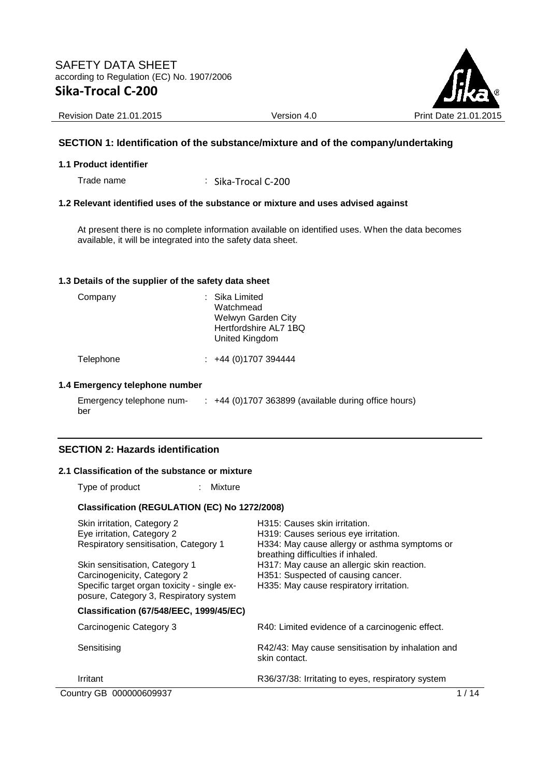

Revision Date 21.01.2015 **Version 4.0** Version 4.0 Print Date 21.01

## **SECTION 1: Identification of the substance/mixture and of the company/undertaking**

#### **1.1 Product identifier**

Trade name : Sika-Trocal C-200

#### **1.2 Relevant identified uses of the substance or mixture and uses advised against**

At present there is no complete information available on identified uses. When the data becomes available, it will be integrated into the safety data sheet.

#### **1.3 Details of the supplier of the safety data sheet**

| Welwyn Garden City<br>Hertfordshire AL7 1BQ<br>United Kingdom | Company | : Sika Limited<br>Watchmead |
|---------------------------------------------------------------|---------|-----------------------------|
|---------------------------------------------------------------|---------|-----------------------------|

Telephone : +44 (0)1707 394444

### **1.4 Emergency telephone number**

Emergency telephone number : +44 (0)1707 363899 (available during office hours)

## **SECTION 2: Hazards identification**

#### **2.1 Classification of the substance or mixture**

Type of product : Mixture

### **Classification (REGULATION (EC) No 1272/2008)**

| Country GB 000000609937                                                                                              |                                                                                  | 14 / |
|----------------------------------------------------------------------------------------------------------------------|----------------------------------------------------------------------------------|------|
| Irritant                                                                                                             | R36/37/38: Irritating to eyes, respiratory system                                |      |
| Sensitising                                                                                                          | R42/43: May cause sensitisation by inhalation and<br>skin contact.               |      |
| Carcinogenic Category 3                                                                                              | R40: Limited evidence of a carcinogenic effect.                                  |      |
| <b>Classification (67/548/EEC, 1999/45/EC)</b>                                                                       |                                                                                  |      |
| Carcinogenicity, Category 2<br>Specific target organ toxicity - single ex-<br>posure, Category 3, Respiratory system | H351: Suspected of causing cancer.<br>H335: May cause respiratory irritation.    |      |
| Skin sensitisation, Category 1                                                                                       | breathing difficulties if inhaled.<br>H317: May cause an allergic skin reaction. |      |
| Respiratory sensitisation, Category 1                                                                                | H334: May cause allergy or asthma symptoms or                                    |      |
| Skin irritation, Category 2<br>Eye irritation, Category 2                                                            | H315: Causes skin irritation.<br>H319: Causes serious eye irritation.            |      |
|                                                                                                                      |                                                                                  |      |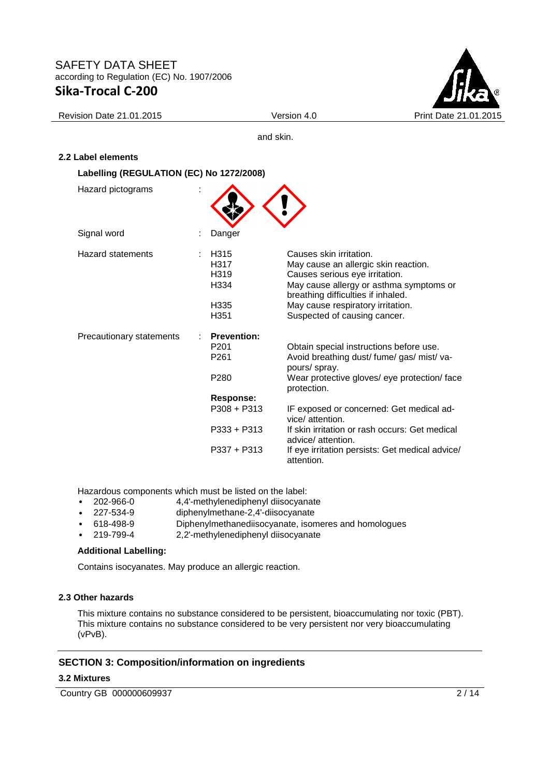

Revision Date 21.01.2015 **Version 4.0** Version 4.0 Print Date 21.01 and skin.

## **2.2 Label elements**

| Labelling (REGULATION (EC) No 1272/2008) |                                                                                |                                                                                                                                                                                                                                                         |
|------------------------------------------|--------------------------------------------------------------------------------|---------------------------------------------------------------------------------------------------------------------------------------------------------------------------------------------------------------------------------------------------------|
| Hazard pictograms                        |                                                                                |                                                                                                                                                                                                                                                         |
| Signal word                              | Danger                                                                         |                                                                                                                                                                                                                                                         |
| <b>Hazard statements</b>                 | H <sub>315</sub><br>H317<br>H319<br>H334<br>H335<br>H351                       | Causes skin irritation.<br>May cause an allergic skin reaction.<br>Causes serious eye irritation.<br>May cause allergy or asthma symptoms or<br>breathing difficulties if inhaled.<br>May cause respiratory irritation.<br>Suspected of causing cancer. |
| Precautionary statements                 | <b>Prevention:</b><br>P <sub>201</sub><br>P <sub>261</sub><br>P <sub>280</sub> | Obtain special instructions before use.<br>Avoid breathing dust/ fume/ gas/ mist/ va-<br>pours/ spray.<br>Wear protective gloves/ eye protection/ face<br>protection.                                                                                   |
|                                          | <b>Response:</b><br>$P308 + P313$                                              | IF exposed or concerned: Get medical ad-<br>vice/ attention.                                                                                                                                                                                            |
|                                          | $P333 + P313$                                                                  | If skin irritation or rash occurs: Get medical<br>advice/attention.                                                                                                                                                                                     |
|                                          | P337 + P313                                                                    | If eye irritation persists: Get medical advice/<br>attention.                                                                                                                                                                                           |

Hazardous components which must be listed on the label:

- 202-966-0 4,4'-methylenediphenyl diisocyanate
- 227-534-9 diphenylmethane-2,4'-diisocyanate
- 618-498-9 Diphenylmethanediisocyanate, isomeres and homologues
- 2,2'-methylenediphenyl diisocyanate

#### **Additional Labelling:**

Contains isocyanates. May produce an allergic reaction.

#### **2.3 Other hazards**

This mixture contains no substance considered to be persistent, bioaccumulating nor toxic (PBT). This mixture contains no substance considered to be very persistent nor very bioaccumulating (vPvB).

# **SECTION 3: Composition/information on ingredients**

#### **3.2 Mixtures**

Country GB 000000609937 2 / 14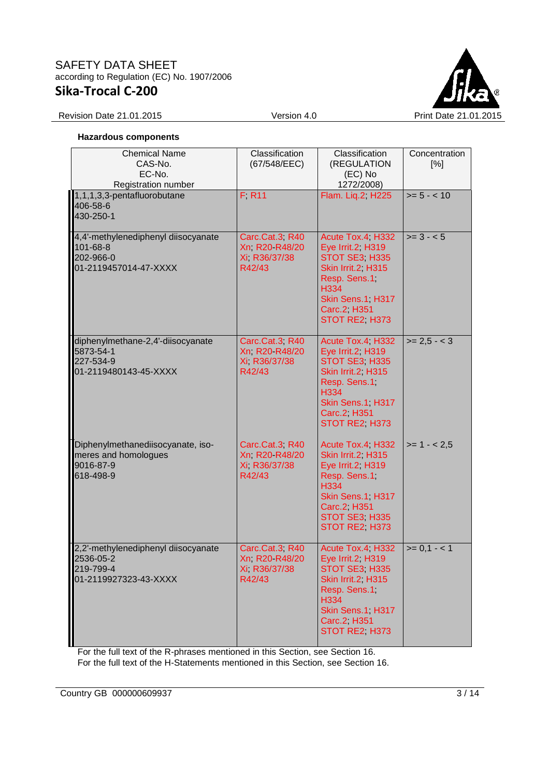

# Revision Date 21.01.2015 Version 4.0 Print Date 21.01.2015

## **Hazardous components**

| <b>Chemical Name</b><br>CAS-No.<br>EC-No.<br>Registration number                       | Classification<br>(67/548/EEC)                              | Classification<br>(REGULATION<br>(EC) No<br>1272/2008)                                                                                                         | Concentration<br>[%] |
|----------------------------------------------------------------------------------------|-------------------------------------------------------------|----------------------------------------------------------------------------------------------------------------------------------------------------------------|----------------------|
| $1,1,1,3,3$ -pentafluorobutane<br>406-58-6<br>430-250-1                                | F. R11                                                      | Flam. Lig.2, H225                                                                                                                                              | $>= 5 - < 10$        |
| 4,4'-methylenediphenyl diisocyanate<br>101-68-8<br>202-966-0<br>01-2119457014-47-XXXX  | Carc.Cat.3, R40<br>Xn, R20 R48/20<br>Xi R36/37/38<br>R42/43 | Acute Tox.4, H332<br>Eye Irrit.2, H319<br>STOT SE3, H335<br>Skin Irrit.2, H315<br>Resp. Sens.1,<br>H334<br>Skin Sens.1, H317<br>Carc.2, H351<br>STOT RE2, H373 | $>= 3 - 5$           |
| diphenylmethane-2,4'-diisocyanate<br>5873-54-1<br>227-534-9<br>01-2119480143-45-XXXX   | Carc.Cat.3, R40<br>Xn, R20 R48/20<br>Xi R36/37/38<br>R42/43 | Acute Tox.4, H332<br>Eye Irrit.2, H319<br>STOT SE3 H335<br>Skin Irrit.2, H315<br>Resp. Sens.1<br>H334<br>Skin Sens.1, H317<br>Carc.2 H351<br>STOT RE2, H373    | $>= 2.5 - 3$         |
| Diphenylmethanediisocyanate, iso-<br>meres and homologues<br>9016-87-9<br>618-498-9    | Carc.Cat.3, R40<br>Xn, R20 R48/20<br>Xi R36/37/38<br>R42/43 | Acute Tox.4, H332<br>Skin Irrit.2, H315<br>Eye Irrit.2, H319<br>Resp. Sens.1<br>H334<br>Skin Sens.1, H317<br>Carc.2, H351<br>STOT SE3 H335<br>STOT RE2, H373   | $>= 1 - 2.5$         |
| 2,2'-methylenediphenyl diisocyanate<br>2536-05-2<br>219-799-4<br>01-2119927323-43-XXXX | Carc.Cat.3 R40<br>Xn, R20 R48/20<br>Xi R36/37/38<br>R42/43  | Acute Tox.4, H332<br>Eye Irrit.2, H319<br>STOT SE3 H335<br>Skin Irrit.2, H315<br>Resp. Sens.1<br>H334<br>Skin Sens.1, H317<br>Carc.2, H351<br>STOT RE2, H373   | $>= 0, 1 - 1$        |

For the full text of the R-phrases mentioned in this Section, see Section 16. For the full text of the H-Statements mentioned in this Section, see Section 16.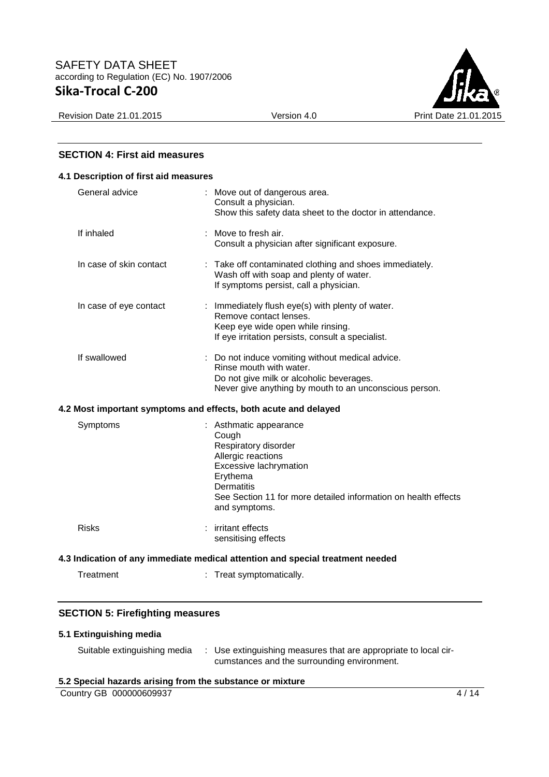

## **SECTION 4: First aid measures**

| 4.1 Description of first aid measures                                          |                                                                                                                                                                                                                             |  |  |  |
|--------------------------------------------------------------------------------|-----------------------------------------------------------------------------------------------------------------------------------------------------------------------------------------------------------------------------|--|--|--|
| General advice                                                                 | Move out of dangerous area.<br>Consult a physician.<br>Show this safety data sheet to the doctor in attendance.                                                                                                             |  |  |  |
| If inhaled                                                                     | : Move to fresh air.<br>Consult a physician after significant exposure.                                                                                                                                                     |  |  |  |
| In case of skin contact                                                        | Take off contaminated clothing and shoes immediately.<br>÷<br>Wash off with soap and plenty of water.<br>If symptoms persist, call a physician.                                                                             |  |  |  |
| In case of eye contact                                                         | : Immediately flush eye(s) with plenty of water.<br>Remove contact lenses.<br>Keep eye wide open while rinsing.<br>If eye irritation persists, consult a specialist.                                                        |  |  |  |
| If swallowed                                                                   | : Do not induce vomiting without medical advice.<br>Rinse mouth with water.<br>Do not give milk or alcoholic beverages.<br>Never give anything by mouth to an unconscious person.                                           |  |  |  |
| 4.2 Most important symptoms and effects, both acute and delayed                |                                                                                                                                                                                                                             |  |  |  |
| Symptoms                                                                       | : Asthmatic appearance<br>Cough<br>Respiratory disorder<br>Allergic reactions<br>Excessive lachrymation<br>Erythema<br><b>Dermatitis</b><br>See Section 11 for more detailed information on health effects<br>and symptoms. |  |  |  |
| <b>Risks</b>                                                                   | : irritant effects<br>sensitising effects                                                                                                                                                                                   |  |  |  |
| 4.3 Indication of any immediate medical attention and special treatment needed |                                                                                                                                                                                                                             |  |  |  |
| Treatment                                                                      | : Treat symptomatically.                                                                                                                                                                                                    |  |  |  |

# **SECTION 5: Firefighting measures**

# **5.1 Extinguishing media**

| Suitable extinguishing media | : Use extinguishing measures that are appropriate to local cir- |
|------------------------------|-----------------------------------------------------------------|
|                              | cumstances and the surrounding environment.                     |

# **5.2 Special hazards arising from the substance or mixture**

Country GB 000000609937 4 / 14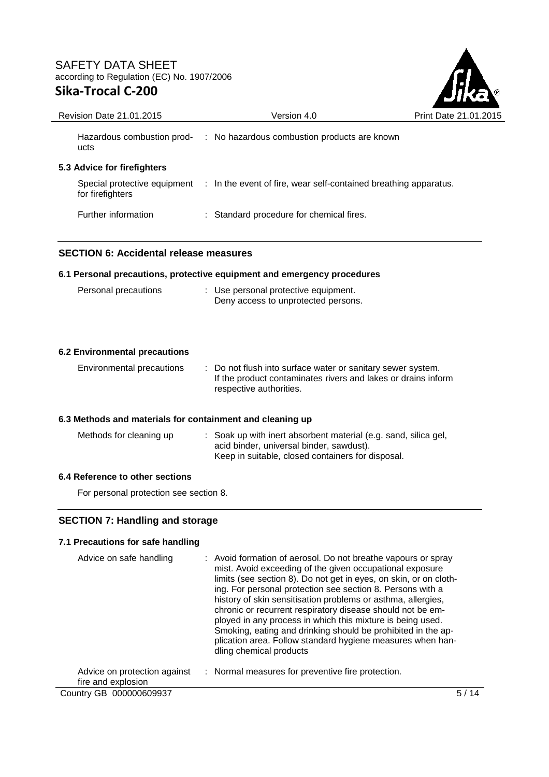

| <b>Revision Date 21.01.2015</b>    | Version 4.0                                                                                   | Print Date 21.01.2015 |
|------------------------------------|-----------------------------------------------------------------------------------------------|-----------------------|
| Hazardous combustion prod-<br>ucts | : No hazardous combustion products are known                                                  |                       |
| 5.3 Advice for firefighters        |                                                                                               |                       |
| for firefighters                   | Special protective equipment : In the event of fire, wear self-contained breathing apparatus. |                       |
| Further information                | : Standard procedure for chemical fires.                                                      |                       |
|                                    |                                                                                               |                       |

## **SECTION 6: Accidental release measures**

#### **6.1 Personal precautions, protective equipment and emergency procedures**

| Personal precautions | : Use personal protective equipment. |
|----------------------|--------------------------------------|
|                      | Deny access to unprotected persons.  |

### **6.2 Environmental precautions**

| Environmental precautions | : Do not flush into surface water or sanitary sewer system.<br>If the product contaminates rivers and lakes or drains inform<br>respective authorities. |
|---------------------------|---------------------------------------------------------------------------------------------------------------------------------------------------------|
|                           |                                                                                                                                                         |

## **6.3 Methods and materials for containment and cleaning up**

| Methods for cleaning up | : Soak up with inert absorbent material (e.g. sand, silica gel, |
|-------------------------|-----------------------------------------------------------------|
|                         | acid binder, universal binder, sawdust).                        |
|                         | Keep in suitable, closed containers for disposal.               |

#### **6.4 Reference to other sections**

For personal protection see section 8.

## **SECTION 7: Handling and storage**

## **7.1 Precautions for safe handling**

| Advice on safe handling                            | : Avoid formation of aerosol. Do not breathe vapours or spray<br>mist. Avoid exceeding of the given occupational exposure<br>limits (see section 8). Do not get in eyes, on skin, or on cloth-<br>ing. For personal protection see section 8. Persons with a<br>history of skin sensitisation problems or asthma, allergies,<br>chronic or recurrent respiratory disease should not be em-<br>ployed in any process in which this mixture is being used.<br>Smoking, eating and drinking should be prohibited in the ap-<br>plication area. Follow standard hygiene measures when han-<br>dling chemical products |
|----------------------------------------------------|-------------------------------------------------------------------------------------------------------------------------------------------------------------------------------------------------------------------------------------------------------------------------------------------------------------------------------------------------------------------------------------------------------------------------------------------------------------------------------------------------------------------------------------------------------------------------------------------------------------------|
| Advice on protection against<br>fire and explosion | : Normal measures for preventive fire protection.                                                                                                                                                                                                                                                                                                                                                                                                                                                                                                                                                                 |

Country GB 000000609937 5 / 14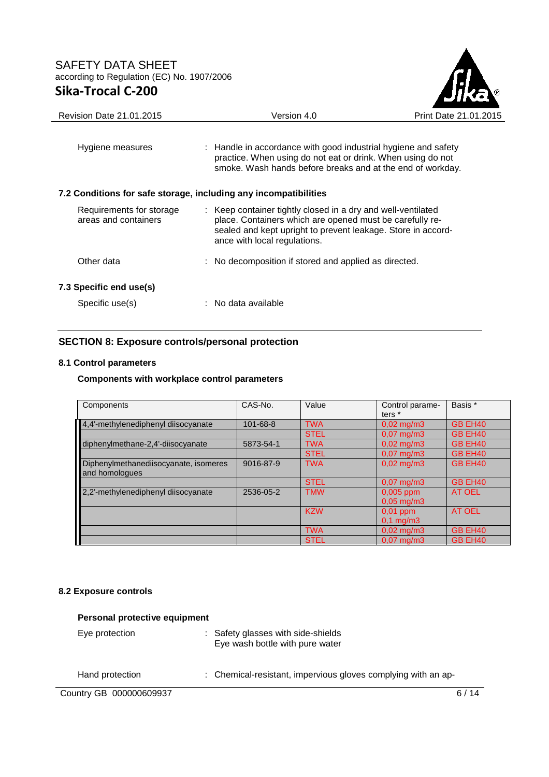

| Revision Date 21.01.2015                                         | Version 4.0                                                                                                                                                                                                              | Print Date 21.01.2015 |  |  |
|------------------------------------------------------------------|--------------------------------------------------------------------------------------------------------------------------------------------------------------------------------------------------------------------------|-----------------------|--|--|
| Hygiene measures                                                 | : Handle in accordance with good industrial hygiene and safety<br>practice. When using do not eat or drink. When using do not<br>smoke. Wash hands before breaks and at the end of workday.                              |                       |  |  |
| 7.2 Conditions for safe storage, including any incompatibilities |                                                                                                                                                                                                                          |                       |  |  |
| Requirements for storage<br>areas and containers                 | : Keep container tightly closed in a dry and well-ventilated<br>place. Containers which are opened must be carefully re-<br>sealed and kept upright to prevent leakage. Store in accord-<br>ance with local regulations. |                       |  |  |
| Other data                                                       | : No decomposition if stored and applied as directed.                                                                                                                                                                    |                       |  |  |
| 7.3 Specific end use(s)                                          |                                                                                                                                                                                                                          |                       |  |  |
| Specific use(s)                                                  | : No data available                                                                                                                                                                                                      |                       |  |  |
|                                                                  |                                                                                                                                                                                                                          |                       |  |  |

# **SECTION 8: Exposure controls/personal protection**

## **8.1 Control parameters**

# **Components with workplace control parameters**

| Components                                              | CAS-No.   | Value       | Control parame-<br>ters <sup>*</sup> | Basis *       |
|---------------------------------------------------------|-----------|-------------|--------------------------------------|---------------|
| 4,4'-methylenediphenyl diisocyanate                     | 101-68-8  | <b>TWA</b>  | $0.02 \text{ mg/m}$ 3                | GB EH40       |
|                                                         |           | <b>STEL</b> | $0.07 \text{ mg/m}$ 3                | GB EH40       |
| diphenylmethane-2,4'-diisocyanate                       | 5873-54-1 | <b>TWA</b>  | $0.02$ ma/m3                         | GB EH40       |
|                                                         |           | <b>STEL</b> | $0.07$ ma/m3                         | GB EH40       |
| Diphenylmethanediisocyanate, isomeres<br>and homologues | 9016-87-9 | <b>TWA</b>  | $0.02 \text{ mg/m}$ 3                | GB EH40       |
|                                                         |           | <b>STEL</b> | $0.07 \text{ mg/m}$ 3                | GB EH40       |
| 2,2'-methylenediphenyl diisocyanate                     | 2536-05-2 | <b>TMW</b>  | $0,005$ ppm<br>$0.05$ mg/m $3$       | <b>AT OEL</b> |
|                                                         |           | <b>KZW</b>  | $0,01$ ppm<br>$0.1$ mg/m $3$         | <b>AT OEL</b> |
|                                                         |           | <b>TWA</b>  | $0.02 \text{ mg/m}$ 3                | GB EH40       |
|                                                         |           | <b>STEL</b> | $0.07$ mg/m $3$                      | GB EH40       |

### **8.2 Exposure controls**

| Personal protective equipment |                                                                       |      |
|-------------------------------|-----------------------------------------------------------------------|------|
| Eye protection                | : Safety glasses with side-shields<br>Eye wash bottle with pure water |      |
| Hand protection               | : Chemical-resistant, impervious gloves complying with an ap-         |      |
| Country GB 000000609937       |                                                                       | / 14 |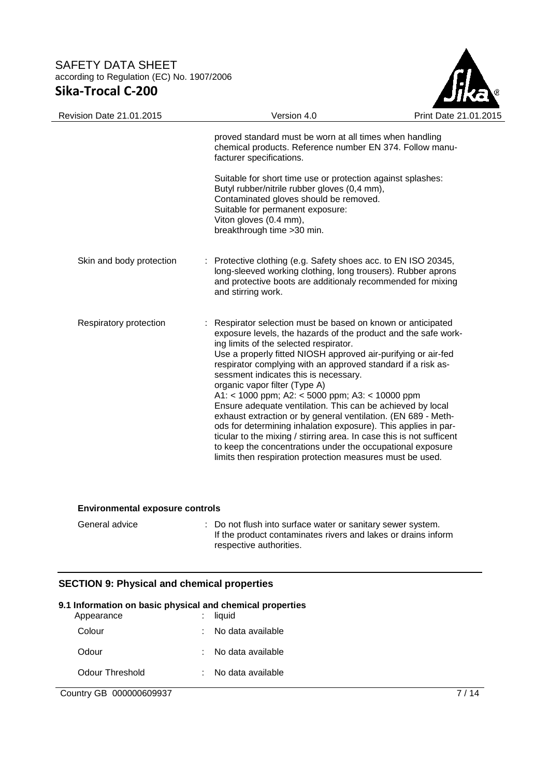

| Revision Date 21.01.2015                                                                                                                                                                                                                                                                                                                                                                                                                                                                                                                                                                                                                                                                                                                                                                                                                                           | Version 4.0                                                                                                                                                                                                                                        | Print Date 21.0 |
|--------------------------------------------------------------------------------------------------------------------------------------------------------------------------------------------------------------------------------------------------------------------------------------------------------------------------------------------------------------------------------------------------------------------------------------------------------------------------------------------------------------------------------------------------------------------------------------------------------------------------------------------------------------------------------------------------------------------------------------------------------------------------------------------------------------------------------------------------------------------|----------------------------------------------------------------------------------------------------------------------------------------------------------------------------------------------------------------------------------------------------|-----------------|
|                                                                                                                                                                                                                                                                                                                                                                                                                                                                                                                                                                                                                                                                                                                                                                                                                                                                    | proved standard must be worn at all times when handling<br>chemical products. Reference number EN 374. Follow manu-<br>facturer specifications.                                                                                                    |                 |
|                                                                                                                                                                                                                                                                                                                                                                                                                                                                                                                                                                                                                                                                                                                                                                                                                                                                    | Suitable for short time use or protection against splashes:<br>Butyl rubber/nitrile rubber gloves (0,4 mm),<br>Contaminated gloves should be removed.<br>Suitable for permanent exposure:<br>Viton gloves (0.4 mm),<br>breakthrough time > 30 min. |                 |
| Skin and body protection                                                                                                                                                                                                                                                                                                                                                                                                                                                                                                                                                                                                                                                                                                                                                                                                                                           | : Protective clothing (e.g. Safety shoes acc. to EN ISO 20345,<br>long-sleeved working clothing, long trousers). Rubber aprons<br>and protective boots are additionaly recommended for mixing<br>and stirring work.                                |                 |
| Respirator selection must be based on known or anticipated<br>Respiratory protection<br>exposure levels, the hazards of the product and the safe work-<br>ing limits of the selected respirator.<br>Use a properly fitted NIOSH approved air-purifying or air-fed<br>respirator complying with an approved standard if a risk as-<br>sessment indicates this is necessary.<br>organic vapor filter (Type A)<br>A1: < 1000 ppm; A2: < 5000 ppm; A3: < 10000 ppm<br>Ensure adequate ventilation. This can be achieved by local<br>exhaust extraction or by general ventilation. (EN 689 - Meth-<br>ods for determining inhalation exposure). This applies in par-<br>ticular to the mixing / stirring area. In case this is not sufficent<br>to keep the concentrations under the occupational exposure<br>limits then respiration protection measures must be used. |                                                                                                                                                                                                                                                    |                 |

#### **Environmental exposure controls**

| General advice | : Do not flush into surface water or sanitary sewer system.   |
|----------------|---------------------------------------------------------------|
|                | If the product contaminates rivers and lakes or drains inform |
|                | respective authorities.                                       |

## **SECTION 9: Physical and chemical properties**

| 9.1 Information on basic physical and chemical properties<br>Appearance | liquid            |
|-------------------------------------------------------------------------|-------------------|
| Colour                                                                  | No data available |
| Odour                                                                   | No data available |
| Odour Threshold                                                         | No data available |

## Country GB 000000609937 7/14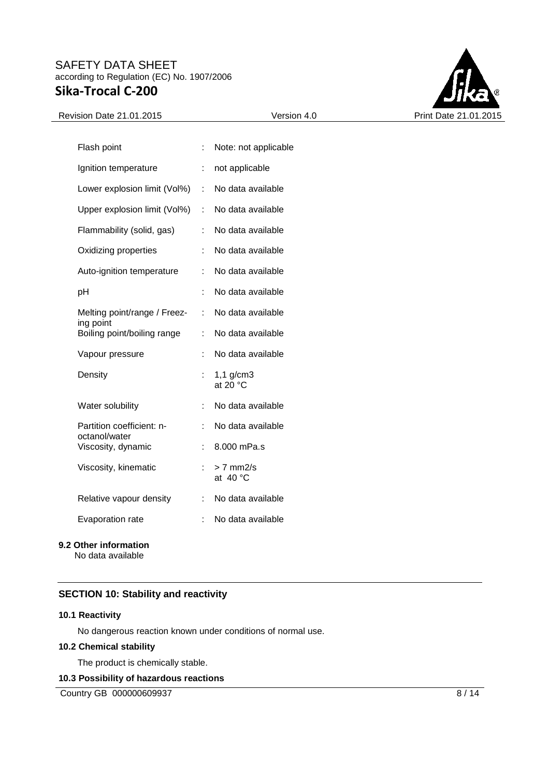

#### Revision Date 21.01.2015 Version 4.0 Print Date 21.01.2015

| t. | Note: not applicable              |
|----|-----------------------------------|
| t  | not applicable                    |
| ÷  | No data available                 |
| t, | No data available                 |
| t. | No data available                 |
| ÷  | No data available                 |
| t  | No data available                 |
|    | No data available                 |
| t. | No data available                 |
| t. | No data available                 |
| t. | No data available                 |
| t. | $1,1$ g/cm3<br>at 20 $^{\circ}$ C |
| t. | No data available                 |
| ÷  | No data available                 |
| t  | 8.000 mPa.s                       |
|    | $> 7$ mm $2/s$<br>at 40 °C        |
| ÷. | No data available                 |
| ÷  | No data available                 |
|    |                                   |

## **9.2 Other information**

No data available

# **SECTION 10: Stability and reactivity**

## **10.1 Reactivity**

No dangerous reaction known under conditions of normal use.

## **10.2 Chemical stability**

The product is chemically stable.

### **10.3 Possibility of hazardous reactions**

Country GB 000000609937 8/14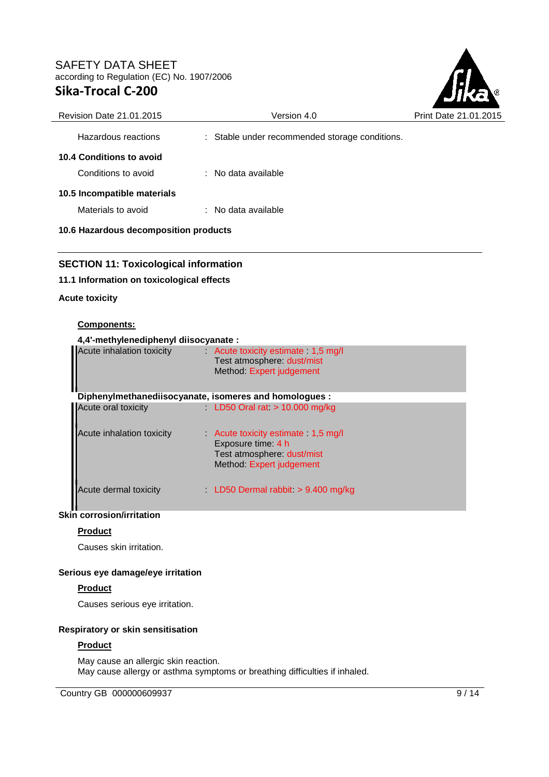

| Revision Date 21.01.2015              | Version 4.0                                    | Print Date 21.01.2015 |  |
|---------------------------------------|------------------------------------------------|-----------------------|--|
| Hazardous reactions                   | : Stable under recommended storage conditions. |                       |  |
| 10.4 Conditions to avoid              |                                                |                       |  |
| Conditions to avoid                   | $:$ No data available                          |                       |  |
| 10.5 Incompatible materials           |                                                |                       |  |
| Materials to avoid                    | $:$ No data available                          |                       |  |
| 10.6 Hazardous decomposition products |                                                |                       |  |
|                                       |                                                |                       |  |

## **SECTION 11: Toxicological information**

## **11.1 Information on toxicological effects**

### **Acute toxicity**

### **Components:**

## **4,4'-methylenediphenyl diisocyanate :**

| Acute inhalation toxicity                              | Acute toxicity estimate 1,5 mg/l<br>Test atmosphere: dust/mist<br>Method: Expert judgement                       |
|--------------------------------------------------------|------------------------------------------------------------------------------------------------------------------|
| Diphenylmethanediisocyanate, isomeres and homologues : |                                                                                                                  |
| Acute oral toxicity                                    | LD50 Oral rat $> 10.000$ mg/kg                                                                                   |
| Acute inhalation toxicity                              | Acute toxicity estimate 1,5 mg/l<br>Exposure time: 4 h<br>Test atmosphere: dust/mist<br>Method: Expert judgement |
| Acute dermal toxicity                                  | LD50 Dermal rabbit $> 9.400$ mg/kg                                                                               |

### **Skin corrosion/irritation**

#### **Product**

Causes skin irritation.

### **Serious eye damage/eye irritation**

#### **Product**

Causes serious eye irritation.

#### **Respiratory or skin sensitisation**

#### **Product**

May cause an allergic skin reaction. May cause allergy or asthma symptoms or breathing difficulties if inhaled.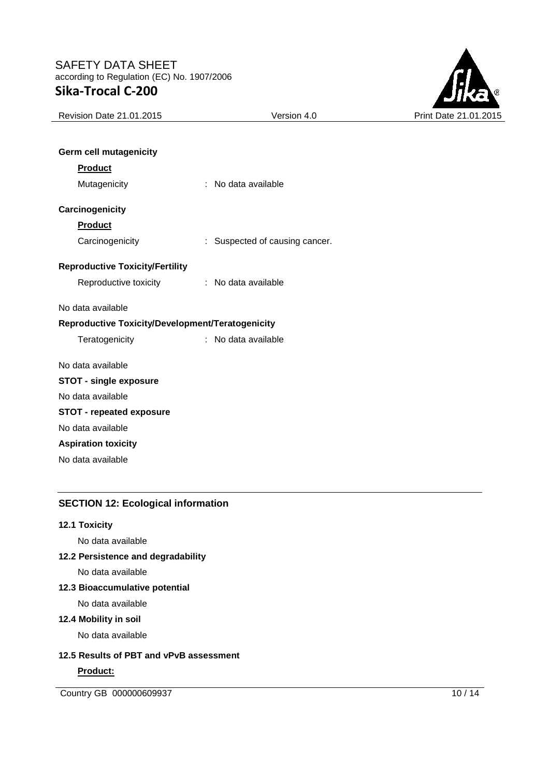

| Revision Date 21.01.2015                         | Version 4.0                    | Print Date 21.01.2015 |
|--------------------------------------------------|--------------------------------|-----------------------|
|                                                  |                                |                       |
| <b>Germ cell mutagenicity</b>                    |                                |                       |
| <b>Product</b>                                   |                                |                       |
| Mutagenicity                                     | : No data available            |                       |
| Carcinogenicity                                  |                                |                       |
| <b>Product</b>                                   |                                |                       |
| Carcinogenicity                                  | : Suspected of causing cancer. |                       |
| <b>Reproductive Toxicity/Fertility</b>           |                                |                       |
| Reproductive toxicity                            | : No data available            |                       |
| No data available                                |                                |                       |
| Reproductive Toxicity/Development/Teratogenicity |                                |                       |
| Teratogenicity                                   | : No data available            |                       |
| No data available                                |                                |                       |
| <b>STOT - single exposure</b>                    |                                |                       |
| No data available                                |                                |                       |
| <b>STOT - repeated exposure</b>                  |                                |                       |
| No data available                                |                                |                       |
| <b>Aspiration toxicity</b>                       |                                |                       |
| No data available                                |                                |                       |
|                                                  |                                |                       |

# **SECTION 12: Ecological information**

## **12.1 Toxicity**

No data available

## **12.2 Persistence and degradability**

No data available

## **12.3 Bioaccumulative potential**

No data available

#### **12.4 Mobility in soil**

No data available

#### **12.5 Results of PBT and vPvB assessment**

## **Product:**

Country GB 000000609937 10 / 14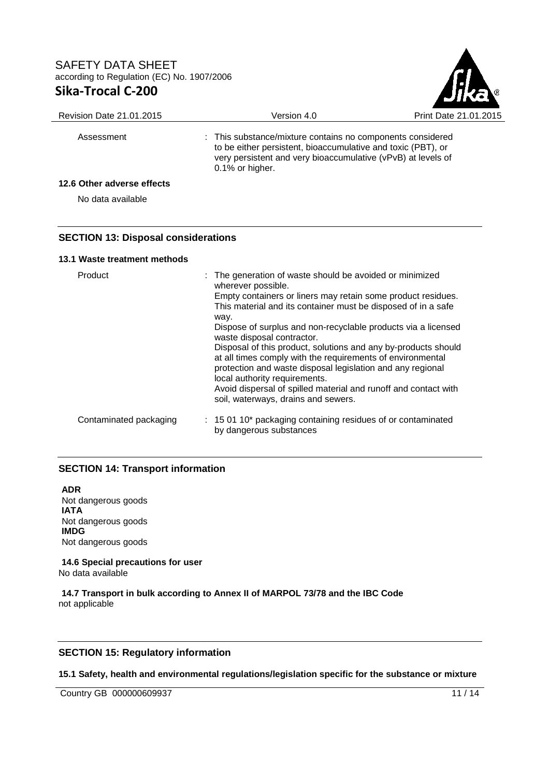![](_page_10_Picture_1.jpeg)

| <b>Revision Date 21.01.2015</b> | Version 4.0                                                                                                                                                                                                   | Print Date 21.01.2015 |
|---------------------------------|---------------------------------------------------------------------------------------------------------------------------------------------------------------------------------------------------------------|-----------------------|
| Assessment                      | : This substance/mixture contains no components considered<br>to be either persistent, bioaccumulative and toxic (PBT), or<br>very persistent and very bioaccumulative (vPvB) at levels of<br>0.1% or higher. |                       |
| 12.6 Other adverse effects      |                                                                                                                                                                                                               |                       |
| No data available               |                                                                                                                                                                                                               |                       |

## **SECTION 13: Disposal considerations**

## **13.1 Waste treatment methods**

| Product                | : The generation of waste should be avoided or minimized<br>wherever possible.<br>Empty containers or liners may retain some product residues.<br>This material and its container must be disposed of in a safe<br>way.<br>Dispose of surplus and non-recyclable products via a licensed<br>waste disposal contractor.<br>Disposal of this product, solutions and any by-products should<br>at all times comply with the requirements of environmental<br>protection and waste disposal legislation and any regional<br>local authority requirements.<br>Avoid dispersal of spilled material and runoff and contact with<br>soil, waterways, drains and sewers. |
|------------------------|-----------------------------------------------------------------------------------------------------------------------------------------------------------------------------------------------------------------------------------------------------------------------------------------------------------------------------------------------------------------------------------------------------------------------------------------------------------------------------------------------------------------------------------------------------------------------------------------------------------------------------------------------------------------|
| Contaminated packaging | : 15 01 10* packaging containing residues of or contaminated<br>by dangerous substances                                                                                                                                                                                                                                                                                                                                                                                                                                                                                                                                                                         |

# **SECTION 14: Transport information**

**ADR** Not dangerous goods **IATA** Not dangerous goods **IMDG** Not dangerous goods

**14.6 Special precautions for user** No data available

**14.7 Transport in bulk according to Annex II of MARPOL 73/78 and the IBC Code** not applicable

# **SECTION 15: Regulatory information**

**15.1 Safety, health and environmental regulations/legislation specific for the substance or mixture**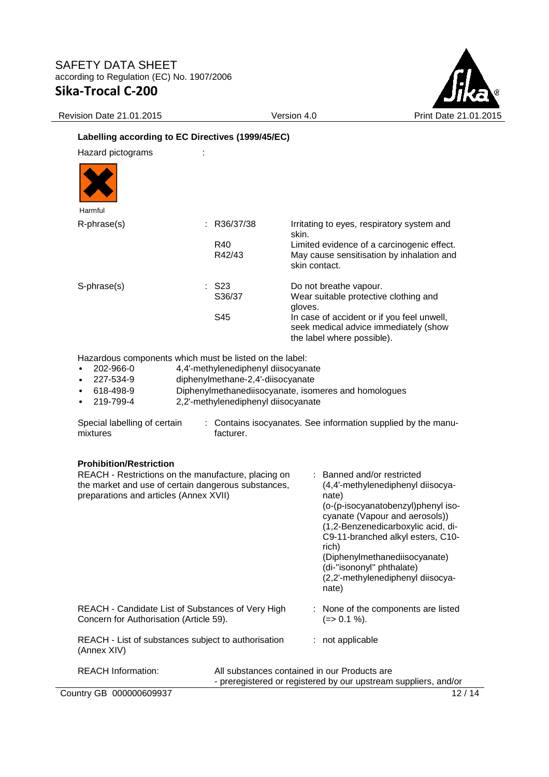![](_page_11_Picture_1.jpeg)

Revision Date 21.01.2015 Version 4.0 Print Date 21.01.2015

# **Labelling according to EC Directives (1999/45/EC)**

Hazard pictograms :

| Harmful           |           |                                                                                                                   |
|-------------------|-----------|-------------------------------------------------------------------------------------------------------------------|
| $R$ -phrase $(s)$ | R36/37/38 | Irritating to eyes, respiratory system and<br>skin.                                                               |
|                   | R40       | Limited evidence of a carcinogenic effect.                                                                        |
|                   | R42/43    | May cause sensitisation by inhalation and<br>skin contact.                                                        |
| S-phrase(s)       | $:$ S23   | Do not breathe vapour.                                                                                            |
|                   | S36/37    | Wear suitable protective clothing and<br>gloves.                                                                  |
|                   | S45       | In case of accident or if you feel unwell,<br>seek medical advice immediately (show<br>the label where possible). |

Hazardous components which must be listed on the label:<br>• 202-966-0 4,4'-methylenediphenyl diisocyan

- 202-966-0 4,4'-methylenediphenyl diisocyanate
- 227-534-9 diphenylmethane-2,4'-diisocyanate
- Diphenylmethanediisocyanate, isomeres and homologues
- 219-799-4 2,2'-methylenediphenyl diisocyanate

| Special labelling of certain | : Contains isocyanates. See information supplied by the manu- |
|------------------------------|---------------------------------------------------------------|
| mixtures                     | facturer.                                                     |

### **Prohibition/Restriction**

| REACH - Restrictions on the manufacture, placing on<br>the market and use of certain dangerous substances,<br>preparations and articles (Annex XVII) |  | : Banned and/or restricted<br>(4,4'-methylenediphenyl diisocya-<br>nate)<br>(o-(p-isocyanatobenzyl)phenyl iso-<br>cyanate (Vapour and aerosols))<br>(1,2-Benzenedicarboxylic acid, di-<br>C9-11-branched alkyl esters, C10-<br>rich)<br>(Diphenylmethanediisocyanate)<br>(di-"isononyl" phthalate)<br>(2,2'-methylenediphenyl diisocya-<br>nate) |
|------------------------------------------------------------------------------------------------------------------------------------------------------|--|--------------------------------------------------------------------------------------------------------------------------------------------------------------------------------------------------------------------------------------------------------------------------------------------------------------------------------------------------|
| REACH - Candidate List of Substances of Very High<br>Concern for Authorisation (Article 59).                                                         |  | : None of the components are listed<br>$(=>0.1\%).$                                                                                                                                                                                                                                                                                              |
| REACH - List of substances subject to authorisation<br>(Annex XIV)                                                                                   |  | : not applicable                                                                                                                                                                                                                                                                                                                                 |
| <b>REACH Information:</b><br>All substances contained in our Products are                                                                            |  | - preregistered or registered by our upstream suppliers, and/or                                                                                                                                                                                                                                                                                  |

Country GB 000000609937 12 / 14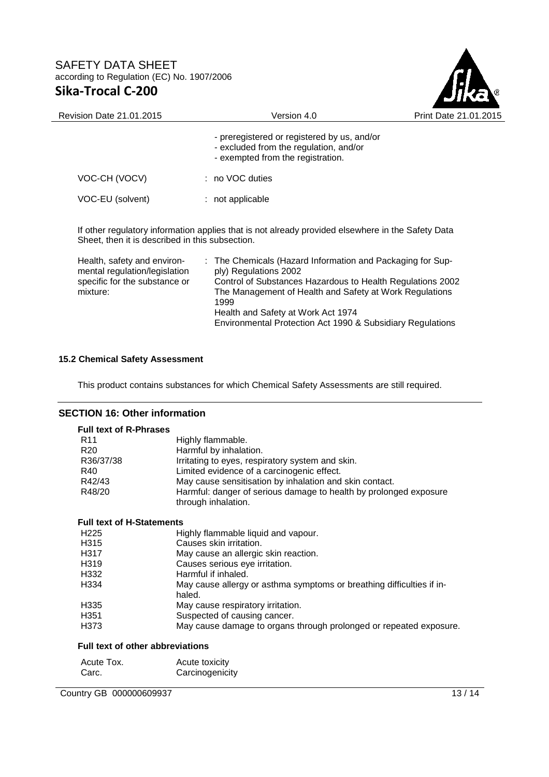![](_page_12_Picture_1.jpeg)

| Revision Date 21.01.2015 | Version 4.0                                                                                                                | Print Date 21.0 |
|--------------------------|----------------------------------------------------------------------------------------------------------------------------|-----------------|
|                          | - preregistered or registered by us, and/or<br>- excluded from the regulation, and/or<br>- exempted from the registration. |                 |
| VOC-CH (VOCV)            | $: no VOC$ duties                                                                                                          |                 |
| VOC-EU (solvent)         | : not applicable                                                                                                           |                 |
|                          | If other regulatory information applies that is not already provided elsewhere in the Safety Data                          |                 |

Sheet, then it is described in this subsection. Health, safety and environ-: The Chemicals (Hazard Information and Packaging for S

| Health, safety and environ-   | $\pm$ The Chemicals (Hazard Information and Packaging for Sup- |
|-------------------------------|----------------------------------------------------------------|
| mental regulation/legislation | ply) Regulations 2002                                          |
| specific for the substance or | Control of Substances Hazardous to Health Regulations 2002     |
| mixture:                      | The Management of Health and Safety at Work Regulations        |
|                               | 1999                                                           |
|                               | Health and Safety at Work Act 1974                             |
|                               | Environmental Protection Act 1990 & Subsidiary Regulations     |

## **15.2 Chemical Safety Assessment**

This product contains substances for which Chemical Safety Assessments are still required.

### **SECTION 16: Other information**

| <b>Full text of R-Phrases</b>    |                                                                                          |
|----------------------------------|------------------------------------------------------------------------------------------|
| R <sub>11</sub>                  | Highly flammable.                                                                        |
| R <sub>20</sub>                  | Harmful by inhalation.                                                                   |
| R36/37/38                        | Irritating to eyes, respiratory system and skin.                                         |
| R40                              | Limited evidence of a carcinogenic effect.                                               |
| R42/43                           | May cause sensitisation by inhalation and skin contact.                                  |
| R48/20                           | Harmful: danger of serious damage to health by prolonged exposure<br>through inhalation. |
| <b>Full text of H-Statements</b> |                                                                                          |
| H <sub>225</sub>                 | Highly flammable liquid and vapour.                                                      |
| H <sub>315</sub>                 | Causes skin irritation.                                                                  |
| H317                             | May cause an allergic skin reaction.                                                     |
| H <sub>3</sub> 19                | Causes serious eye irritation.                                                           |
| H332                             | Harmful if inhaled.                                                                      |
| H334                             | May cause allergy or asthma symptoms or breathing difficulties if in-<br>haled.          |
| H335                             | May cause respiratory irritation.                                                        |
| H <sub>351</sub>                 | Suspected of causing cancer.                                                             |
| H373                             | May cause damage to organs through prolonged or repeated exposure.                       |

#### **Full text of other abbreviations**

| Acute Tox. | Acute toxicity  |
|------------|-----------------|
| Carc.      | Carcinogenicity |

Country GB 000000609937 13 / 14